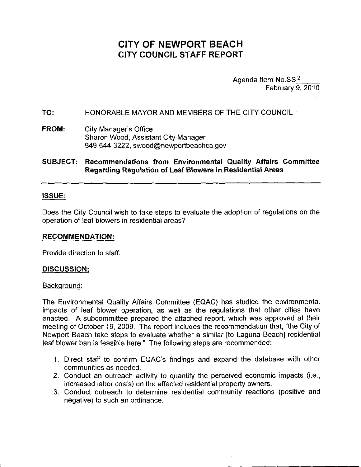# **CITY OF NEWPORT BEACH CITY COUNCIL STAFF REPORT**

Agenda Item **No.SS 2** February 9, 2010

**TO:** HONORABLE MAYOR AND MEMBERS OF THE CITY COUNCIL

#### **FROM:** City Manager's Office Sharon Wood, Assistant City Manager 949-644-3222, swood@newportbeachca.gov

**SUBJECT: Recommendations from Environmental Quality Affairs Committee Regarding Regulation of Leaf Blowers in Residential Areas**

## **ISSUE:**

Does the City Council wish to take steps to evaluate the adoption of regulations on the operation of leaf blowers in residential areas?

## **RECOMMENDATION:**

Provide direction to staff.

## **DISCUSSION:**

## Background:

The Environmental Quality Affairs Committee (EQAC) has studied the environmental impacts of leaf blower operation, as well as the regulations that other cities have enacted. A subcommittee prepared the attached report, which was approved at their meeting of October 19, 2009. The report includes the recommendation that, "the City of Newport Beach take steps to evaluate whether a similar [to Laguna Beach] residential leaf blower ban is feasible here." The following steps are recommended:

- 1. Direct staff to confirm EQAC's findings and expand the database with other communities as needed.
- 2. Conduct an outreach activity to quantify the perceived economic impacts (i.e., increased labor costs) on the affected residential property owners.
- 3. Conduct outreach to determine residential community reactions (positive and negative) to such an ordinance.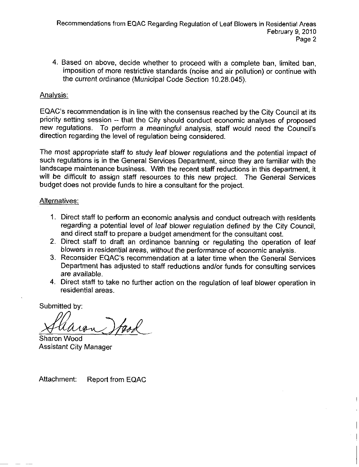4. Based on above, decide whether to proceed with a complete ban, limited ban, imposition of more restrictive standards (noise and air pollution) or continue with the current ordinance (Municipal Code Section 10.28.045).

# Analysis:

EQAC's recommendation is in line with the consensus reached by the City Council at its priority setting session -- that the City should conduct economic analyses of proposed new regulations. To perform a meaningful analysis, staff would need the Council's direction regarding the level of regulation being considered.

The most appropriate staff to study leaf blower regulations and the potential impact of such regulations is in the General Services Department, since they are familiar with the landscape maintenance business. With the recent staff reductions in this department, it will be difficult to assign staff resources to this new project. The General Services budget does not provide funds to hire a consultant for the project.

## Alternatives:

- 1. Direct staff to perform an economic analysis and conduct outreach with residents regarding a potential level of leaf blower regulation defined by the City Council, and direct staff to prepare a budget amendment for the consultant cost.
- 2. Direct staff to draft an ordinance banning or regulating the operation of leaf blowers in residential areas, without the performance of economic analysis.
- 3. Reconsider EQAC's recommendation at a later time when the General Services Department has adjusted to staff reductions and/or funds for consulting services are available.
- 4. Direct staff to take no further action on the regulation of leaf blower operation in residential areas.

**Submitted by:**

tack

Sharon Wood Assistant City Manager

Attachment: Report from EQAC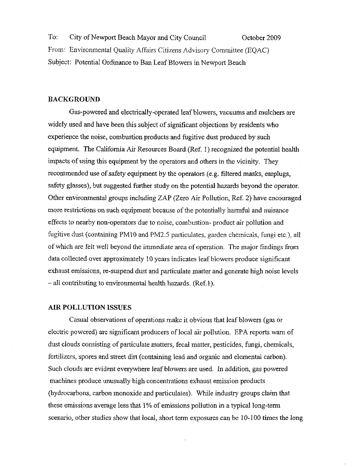To: City of Newport Beach Mayor and City Council October 2009 From: Environmental Quality Affairs Citizens Advisory Committee (EQAC) Subject: Potential Ordinance to Ban Leaf Blowers in Newport Beach

### BACKGROUND

Gas-powered and electrically-operated leaf blowers, vacuums and mulchers are widely used and have been this subject of significant objections by residents who experience the noise, combustion products and fugitive dust produced by such equipment. The California Air Resources Board (Ref. 1) recognized the potential health impacts of using this equipment by the operators and others in the vicinity. They recommended use of safety equipment by the operators (e.g. filtered masks, earplugs, safety glasses), but suggested further study on the potential hazards beyond the operator. Other environmental groups including ZAP (Zero Air Pollution, Ref. 2) have encouraged more restrictions on such equipment because of the potentially harmful and nuisance effects to nearby non-operators due to noise, combustion- product air pollution and fugitive dust (containing PM10 and PM2.5 particulates, garden chemicals, fungi etc.), all of which are felt well beyond the immediate area of operation. The major findings from data collected over approximately 10 years indicates leaf blowers produce significant exhaust emissions, re-suspend dust and particulate matter and generate high noise levels - all contributing to environmental health hazards. (Ref.1).

#### AIR POLLUTION ISSUES

Casual observations of operations make it obvious that leaf blowers (gas or electric powered) are significant producers of local air pollution. EPA reports warn of dust clouds consisting of particulate matters, fecal matter, pesticides, fungi, chemicals, fertilizers, spores and street dirt (containing lead and organic and elemental carbon). Such clouds are evident everywhere leaf blowers are used. In addition, gas powered machines produce unusually high concentrations exhaust emission products (hydrocarbons, carbon monoxide and particulates). While industry groups claim that these emissions average less that  $1\%$  of emissions pollution in a typical long-term scenario, other studies show that local, short term exposures can be 10-100 times the long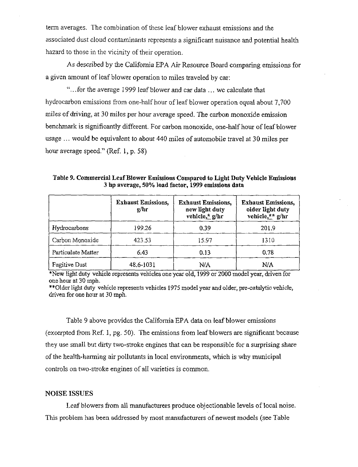term averages. The combination of these leaf blower exhaust emissions and the associated dust cloud contaminants represents a significant nuisance and potential health hazard to those in the vicinity of their operation.

As described by the California EPA Air Resource Board comparing emissions for a given amount of leaf blower operation to miles traveled by car:

"... for the average 1999 leaf blower and car data ... we calculate that hydrocarbon emissions from one-half hour of leaf blower operation equal about 7,700 miles of driving, at 30 miles per hour average speed. The carbon monoxide emission benchmark is significantly different. For carbon monoxide, one-half hour of leaf blower usage ... would be equivalent to about 440 miles of automobile travel at 30 miles per hour average speed." (Ref. 1, p. 58)

**Table 9. Commercial Leaf Blower Emissions Compared to Light Duty Vehicle Emissions 3 hp average, 50% load factor, 1999 emissions data**

|                      | <b>Exhaust Emissions,</b><br>g/hr | <b>Exhaust Emissions,</b><br>new light duty<br>vehicle, $\frac{1}{2}$ g/hr | <b>Exhaust Emissions,</b><br>older light duty<br>vehicle,** $g/hr$ |  |
|----------------------|-----------------------------------|----------------------------------------------------------------------------|--------------------------------------------------------------------|--|
| Hydrocarbons         | 199.26                            | 0.39                                                                       | 201.9                                                              |  |
| Carbon Monoxide      | 423.53                            | 15.97                                                                      | 1310                                                               |  |
| Particulate Matter   | 6.43                              | 0.13                                                                       | 0.78                                                               |  |
| <b>Fugitive Dust</b> | 48.6-1031                         | N/A                                                                        | N/A                                                                |  |

\*New light duty vehicle represents vehicles one year old, 1999 or 2000 model year, driven for one hou~ at 30 mph.

\*\*Older light duty vehicle represents vehicles 1975 model year and older, pre-catalytic vehicle, driven for one hour at 30 mph.

Table 9 above provides the California EPA data on leaf blower emissions (excerpted from Ref. I, pg. 50). The emissions from lea£blowers are significant because they use small but dirty two-stroke engines that can be responsible for a surprising share of the health-harming air pollutants in local environments, which is why municipal controls on two-stroke engines of all varieties is common.

#### **NOISE ISSUES**

Leaf blowers from all manufacturers produce objectionable levels of local noise. This problem has been addressed by most manufacturers of newest models (see Table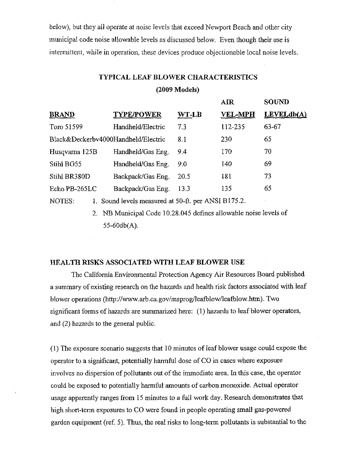below), but they all operate at noise levels that exceed Newport Beach and other city municipal code noise allowable levels as discussed below. Even though their use is intermittent, while in operation, these devices produce objectionable local noise levels.

# **TYPICAL LEAF BLOWER CHARACTERISTICS**

**(2009 Models)**

|                                                               |                   |             | AIR            | <b>SOUND</b> |
|---------------------------------------------------------------|-------------------|-------------|----------------|--------------|
| <b>BRAND</b>                                                  | <b>TYPE/POWER</b> | WT-LB       | <b>VEL-MPH</b> | LEVELdb(A)   |
| Toro 51599                                                    | Handheld/Electric | 7.3         | 112-235        | 63-67        |
| Black&Deckerbv4000Handheld/Electric                           | 8.1               | 230         | 65             |              |
| Husqvarna 125B                                                | Handheld/Gas Eng. | 9.4         | 170            | 70           |
| Stihl BG55                                                    | Handheld/Gas Eng. | 9.0         | 140            | 69           |
| Stihl BR380D                                                  | Backpack/Gas Eng. | <b>20.5</b> | 181            | 73           |
| Echo PB-265LC                                                 | Backpack/Gas Eng. | 13.3        | 135            | 65           |
| 1. Sound levels measured at 50-ft. per ANSI B175.2.<br>NOTES: |                   |             |                |              |

2. NB Municipal Code 10.28.045 defines allowable noise levels of 55-60db(A).

## **HEALTH** RISKS ASSOCIATED **WITH LEAF BLOWER USE**

The California Environmental Protection Agency Air Resources Board published a summary of existing research on the hazards and health risk factors associated with leaf blower operations (http://www.arb.ca.gov/msprog/leafblow/leafblow.htm). Two significant forms of hazards are summarized here: (1) hazards to leaf blower operators, and (2) hazards to the general public.

(1) The exposure scenario suggests that 10 minutes of leaf blower usage could expose the operator to a significant, potentially harmful dose of CO in cases where exposure involves no dispersion of pollutants out of the immediate area. In this case, the operator could be exposed to potentially harmful mounts of carbon monoxide. Actual operator usage apparently ranges from 15 minutes to a full work day. Research demonstrates that high short-term exposures to CO were found in people operating small gas-powered garden equipment (ref. 5). Thus, the real risks to long-term pollutants is substantial to the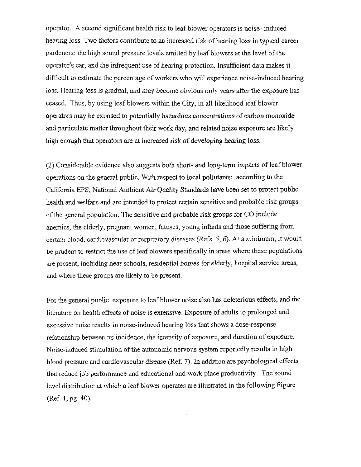operator. A second significant health risk to leaf blower operators is noise- induced hearing loss. Two factors contribute to an increased risk of hearing loss in typical career gardeners: the high sound pressure levels emitted by leaf blowers at the level of the operator's ear, and the infrequent use of heating protection. Insufficient data makes it difficult to estimate the percentage of workers who will experience noise-induced hearing loss. Hearing loss is gradual, and may become obvious only years after the exposure has ceased. Thus, by using leaf blowers within the City, in all likelihood leaf blower operators may be exposed to potentially hazardous concentrations of carbon monoxide and particulate matter throughout their work day, and related noise exposure are likely high enough that operators are at increased risk of developing hearing loss.

(2) Considerable evidence also suggests both short- and long-term impacts of leaf blower operations on the general public. With respect to local pollutants: according to the California EPS, National Ambient Air Quality Standards have been set to protect public health and welfare and are intended to protect certain sensitive and probable risk groups of the general population. The sensitive and probable risk groups for CO include anemics, the elderly, pregnant women, fetuses, young infants and those suffering from certain blood, cardiovascular or respiratory diseases (Refs. 5, 6). At a minimum, it would be prudent to restrict the use of leaf blowers specifically in areas where these populations are present, including near schools, residential homes for elderly, hospital service areas, and where these groups are likely to be present.

For the general public, exposure to leaf blower noise also has deleterious effects, and the literature on health effects of noise is extensive. Exposure of adults to prolonged and excessive noise results in noise-induced hearing loss that shows a dose-response relationship betweev: its incidence, the intensity of exposure, and duration of exposure. Noise-induced stimulation of the autonomic nervous system reportedly results in high blood pressure and cardiovascular disease (Ref. 7). In addition are psychological effects that reduce job performance and educational and work place productivity. The sound level distribution at which a leaf blower operates are illustrated in the following Figure (Ref. 1, pg. 40).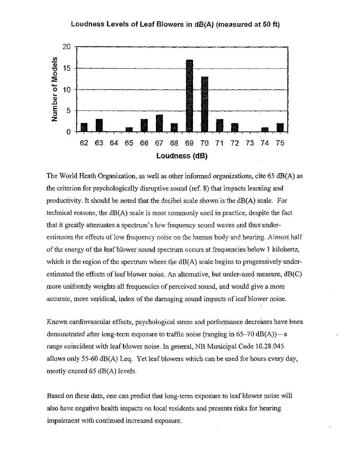#### **Loudness Levels of Leaf Blowers in dB(A) (measured at 50 ft)**



The World Heath Organization, as well as other informed organizations, cite 65 dB(A) as the criterion for psychologically disruptive sound (ref. 8) that impacts learning and productivity. It should be noted that the decibel scale shown is the dB(A) scale. For technical reasons, the  $dB(A)$  scale is most commonly used in practice, despite the fact that it greatly attenuates a spectrum's low frequency sound waves and thus underestimates the effects of low frequency noise on the human body and hearing. Almost half of the energy of the leaf blower sound spectrum occurs at frequencies below 1 kilohertz, which is the region of the spectrum where the  $dB(A)$  scale begins to progressively underestimated the effects of leaf blower noise. An alternative, but under-used measure,  $dB(C)$ more uniformly weights all frequencies of perceived sound, and would give a more accurate, more veridical, index of the damaging sound impacts of leaf blower noise.

Known cardiovascular effects, psychological stress and performance decreases have been demonstrated after long-term exposure to traffic noise (ranging in  $65-70$  dB(A)) - a range coincident with leaf blower noise. In general, NB Municipal Code 10.28.045 allows only 55-60 dB(A) Leq. Yet leaf blowers which can be used for hours every day, mostly exceed 65 dB(A) levels.

Based on these data, one can predict that long-term exposure to leaf blower noise will also have negative health impacts on local residents and presents risks for hearing impairment with continued increased exposure.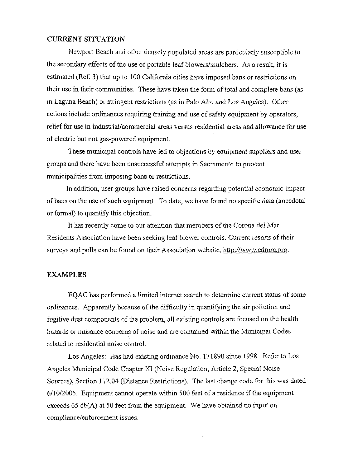### CURRENT SITUATION

Newport Beach and other densely populated areas are particularly susceptible to the secondary effects of the use of portable leaf blowers/mulchers. As a result, it is estimated (Ref. 3) that up to 100 California cities have imposed bans or restrictions on their use in their communities. These have taken the form of total and complete bans (as in Laguna Beach) or stringent restrictions (as in Palo Alto and Los Angeles). Other actions include ordinances requiring training and use of safety equipment by operators, relief for use in industrial/commercial areas versus residential areas and allowance for use of electric but not gas-powered equipment.

These municipal controls have led to objections by equipment suppliers and user groups and there have been unsuccessful attempts in Sacramento to prevent municipalities from imposing bans or restrictions.

In addition, user groups have raised concerns regarding potential economic impact of bans on the use of such equipment. To date, we have found no specific data (anecdotal or formal) to quantify this objection.

It has recently come to our attention that members of the Corona del Mar Residents Association have been seeking leaf blower controls. Current results of their surveys and polls can be found on their Association website, http://www.cdmra.org.

#### **EXAMPLES**

EQAC has performed a limited interact search to determine current status of some ordinances. Apparently because of the difficulty in quantifying the air pollution and fugitive dust components of the problem, all existing controls are focused on the health hazards or nuisance concerns of noise and are contained within the Municipal Codes related to residential noise control.

Los Angeles: Has had existing ordinance No. 171890 since 1998. Refer to Los Angeles Municipal Code Chapter XI (Noise Regulation, ArticIe 2, Special Noise Sources), Section 112.04 (Distance Restrictions). The Iast change code for this was dated 6/10/2005. Equipment cannot operate within 500 feet of a residence if the equipment exceeds 65 db(A) at 50 feet from the equipment. We have obtained no input on compliance/enforcement issues.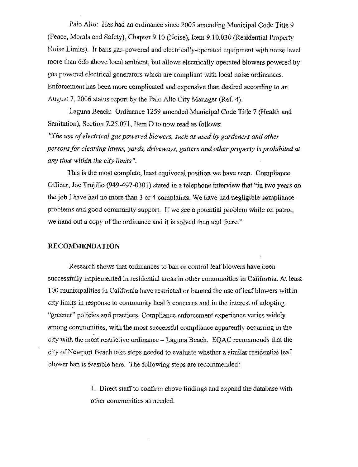Palo Alto: Has had an ordinance since 2005 amending Municipal Code Title 9 (Peace, Morals and Safety), Chapter 9.10 (Noise), Item 9.10.030 (Residential Property Noise Limits). It bans gas-powered and electrically-operated equipment with noise level more than 6db above local ambient, but allows electrically operated blowers powered by gas powered electrical generators which are compliant with local noise ordinances. Enforcement has been more complicated and expensive than desired according to an August 7, 2006 status report by the Palo Alto City Manager (Ref. 4).

Laguna Beach: Ordinance 1259 amended Municipal Code Title 7 (Health and Sanitation), Section 7.25.071, Item D *to* now read as follows:

*"The use of electrical gas powered blowers, such as used by gardeners and other persons for cleaning lawns, yards, driveways, gutters and other property is prohibited at any time within the city limits".*

This is the most complete, least equivocal position we have seen. Compliance Officer, Joe Trujillo (949-497-030I) stated in a telephone interview that "in two years on the job I have had no more than 3 or 4 complaints. We have had negligible compliance problems and good community support. If we see a potential problem while on patrol, we hand out a copy of the ordinance and it is solved then and there."

#### RECOMMENDATION

Research shows that ordinances to ban or control leaf blowers have been successfully implemented in residential areas in other comraunities in California. At least 100 municipalities in California have restricted or banned the use of leaf blowers within city limits in response to community health concerns and in the interest of adopting "greener" policies and practices. Compliance enforcement experience varies widely among communities, with the most successful compliance apparently occurring in the city with the most restrictive ordinance - Laguna Beach. EQAC recommends that the city of Newport Beach take steps needed to evaluate whether a similar residential leaf blower ban is feasible here. The following steps are recommended:

> 1. Direct staff to confirm above findings and expand the database with other communities as needed.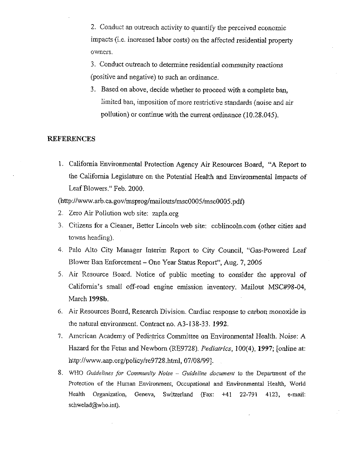2. Conduct an outreach activity to quantify the perceived economic impacts (i.e. increased labor costs) on the affected residential property owners.

3. Conduct outreach to determine residential community reactions (positive and negative) to such an ordinance.

3. Based on above, decide whether to proceed with a complete ban, limited ban, imposition of more restrictive standards (noise and air pollution) or continue with the current ordinance (10.28.045).

#### **REFERENCES**

1. California Envirormrental Protection Agency Air Resources Board, "A Report to the California Legislature on the Potential Health and Environmental Impacts of Leaf Blowers." Feb. 2000.

(http://www.arb.ca.gov/msprog/mailouts/msc0005/msc0005.pdf)

- 2. Zero Air Pollution web site: zapla.org
- 3. Citizens for a Cleaner, Better Lincoln web site: ccblincoln.com (other cities and towns heading).
- 4. Palo Alto City Manager Interim Report to City Council, "Gas-Powered Leaf Blower Ban Enforcement - One Year Status Report", Aug. 7, *2006*
- 5. Air Resource Board. Notice of public meeting to consider the approval of California's small off-road engine emission inventory. Mailout MSC#98-04, March 1998b.
- 6. Air Resources Board, Research Division. Cardiac response to carbon monoxide in the natural environment. Contract no. A3-138-33. 1992.
- 7. American Academy of Pediatrics Committee on Environmental Health. Noise: A Hazard for the Fetus and Newborn (RE9728). *Pediatrics,* 100(4), 1997; [online at: *http://www.aap.org/policy/re9728.html, 07/08/99].*
- *8. WHO Guidelines for Community Noise Guideline document to* the Department of the Protection of the Human Environment, Occupational and Environmental Health, World Health Organization, Geneva, Switzerland (Fax: +41 22-791 4123, e-mall: schwelad@who.int).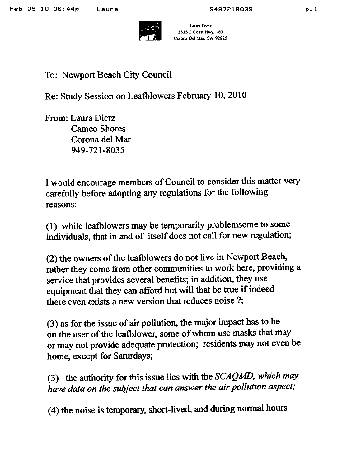

laura Dictz 3535 E Coast Hwy. 180 Co¢ona Del Mar. CA 92625

# To: Newport Beach City Council

Re: Study Session on Leafblowers February 10, 2010

From: Laura Dietz Cameo Shores Corona del Mar 949-721-8035

I would encourage members of Council to consider this matter very carefully before adopting any regulations for the following reasons:

(1) while leafblowers may be temporarily problemsome to some individuals, that in and of itself does not call for new regulation;

(2) the owners of the leafblowers do not live in Newport Beach, rather they come from other communities to work here, providing a service that provides several benefits; in addition, they use equipment that they can afford but will that be true if indeed there even exists a new version that reduces noise?;

(3) as for the issue of air pollution, the major impact has to be on the user of the leafblower, some of whom use masks that may or may not provide adequate protection; residents may not even be home, except for Saturdays;

(3) the authority for this issue lies with the *SCAQMD, which may have data on the subject that can answer the air pollution aspect;*

(4) the noise is temporary, short-lived, and during normal hours